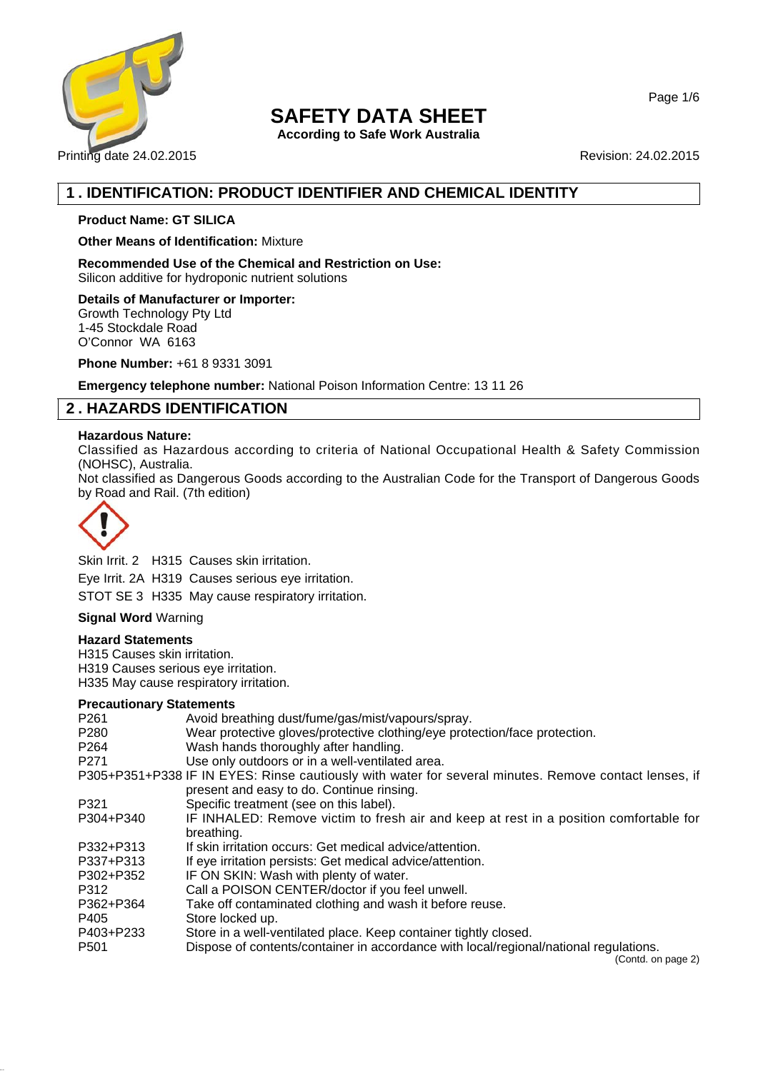

# **SAFETY DATA SHEET**

**According to Safe Work Australia**

Page 1/6

# **1 . IDENTIFICATION: PRODUCT IDENTIFIER AND CHEMICAL IDENTITY**

## **Product Name: GT SILICA**

**Other Means of Identification:** Mixture

**Recommended Use of the Chemical and Restriction on Use:** Silicon additive for hydroponic nutrient solutions

**Details of Manufacturer or Importer:** Growth Technology Pty Ltd 1-45 Stockdale Road O'Connor WA 6163

**Phone Number:** +61 8 9331 3091

**Emergency telephone number:** National Poison Information Centre: 13 11 26

# **2 . HAZARDS IDENTIFICATION**

## **Hazardous Nature:**

Classified as Hazardous according to criteria of National Occupational Health & Safety Commission (NOHSC), Australia.

Not classified as Dangerous Goods according to the Australian Code for the Transport of Dangerous Goods by Road and Rail. (7th edition)



Skin Irrit. 2 H315 Causes skin irritation. Eye Irrit. 2A H319 Causes serious eye irritation. STOT SE 3 H335 May cause respiratory irritation.

## **Signal Word** Warning

## **Hazard Statements**

H315 Causes skin irritation. H319 Causes serious eye irritation. H335 May cause respiratory irritation.

## **Precautionary Statements**

| P <sub>261</sub> | Avoid breathing dust/fume/gas/mist/vapours/spray.                                                        |
|------------------|----------------------------------------------------------------------------------------------------------|
| P <sub>280</sub> | Wear protective gloves/protective clothing/eye protection/face protection.                               |
| P <sub>264</sub> | Wash hands thoroughly after handling.                                                                    |
| P <sub>271</sub> | Use only outdoors or in a well-ventilated area.                                                          |
|                  | P305+P351+P338 IF IN EYES: Rinse cautiously with water for several minutes. Remove contact lenses, if    |
|                  | present and easy to do. Continue rinsing.                                                                |
| P321             | Specific treatment (see on this label).                                                                  |
| P304+P340        | IF INHALED: Remove victim to fresh air and keep at rest in a position comfortable for                    |
|                  | breathing.                                                                                               |
| P332+P313        | If skin irritation occurs: Get medical advice/attention.                                                 |
| P337+P313        | If eye irritation persists: Get medical advice/attention.                                                |
| P302+P352        | IF ON SKIN: Wash with plenty of water.                                                                   |
| P312             | Call a POISON CENTER/doctor if you feel unwell.                                                          |
| P362+P364        | Take off contaminated clothing and wash it before reuse.                                                 |
| P405             | Store locked up.                                                                                         |
| P403+P233        | Store in a well-ventilated place. Keep container tightly closed.                                         |
| P <sub>501</sub> | Dispose of contents/container in accordance with local/regional/national regulations.<br>$(n+1)$ . $n+2$ |

(Contd. on page 2)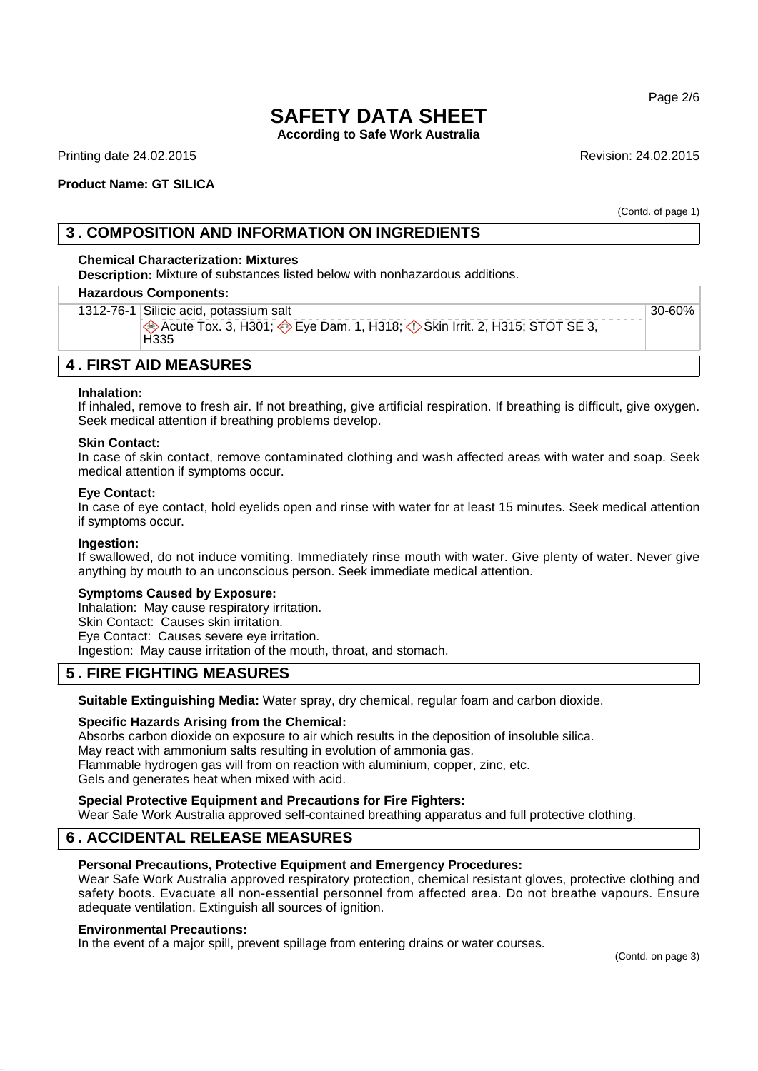Page 2/6

# **SAFETY DATA SHEET**

**According to Safe Work Australia**

Printing date 24.02.2015 **Revision: 24.02.2015** Revision: 24.02.2015

## **Product Name: GT SILICA**

(Contd. of page 1)

## **3 . COMPOSITION AND INFORMATION ON INGREDIENTS**

## **Chemical Characterization: Mixtures**

**Description:** Mixture of substances listed below with nonhazardous additions.

#### **Hazardous Components:**

1312-76-1 Silicic acid, potassium salt Acute Tox. 3, H301;  $\diamondsuit$  Eye Dam. 1, H318;  $\diamondsuit$  Skin Irrit. 2, H315; STOT SE 3, H<sub>335</sub> 30-60%

## **4 . FIRST AID MEASURES**

#### **Inhalation:**

If inhaled, remove to fresh air. If not breathing, give artificial respiration. If breathing is difficult, give oxygen. Seek medical attention if breathing problems develop.

### **Skin Contact:**

In case of skin contact, remove contaminated clothing and wash affected areas with water and soap. Seek medical attention if symptoms occur.

### **Eye Contact:**

In case of eye contact, hold eyelids open and rinse with water for at least 15 minutes. Seek medical attention if symptoms occur.

### **Ingestion:**

If swallowed, do not induce vomiting. Immediately rinse mouth with water. Give plenty of water. Never give anything by mouth to an unconscious person. Seek immediate medical attention.

### **Symptoms Caused by Exposure:**

Inhalation: May cause respiratory irritation. Skin Contact: Causes skin irritation. Eye Contact: Causes severe eye irritation. Ingestion: May cause irritation of the mouth, throat, and stomach.

## **5 . FIRE FIGHTING MEASURES**

**Suitable Extinguishing Media:** Water spray, dry chemical, regular foam and carbon dioxide.

### **Specific Hazards Arising from the Chemical:**

Absorbs carbon dioxide on exposure to air which results in the deposition of insoluble silica. May react with ammonium salts resulting in evolution of ammonia gas. Flammable hydrogen gas will from on reaction with aluminium, copper, zinc, etc. Gels and generates heat when mixed with acid.

## **Special Protective Equipment and Precautions for Fire Fighters:**

Wear Safe Work Australia approved self-contained breathing apparatus and full protective clothing.

# **6 . ACCIDENTAL RELEASE MEASURES**

### **Personal Precautions, Protective Equipment and Emergency Procedures:**

Wear Safe Work Australia approved respiratory protection, chemical resistant gloves, protective clothing and safety boots. Evacuate all non-essential personnel from affected area. Do not breathe vapours. Ensure adequate ventilation. Extinguish all sources of ignition.

## **Environmental Precautions:**

In the event of a major spill, prevent spillage from entering drains or water courses.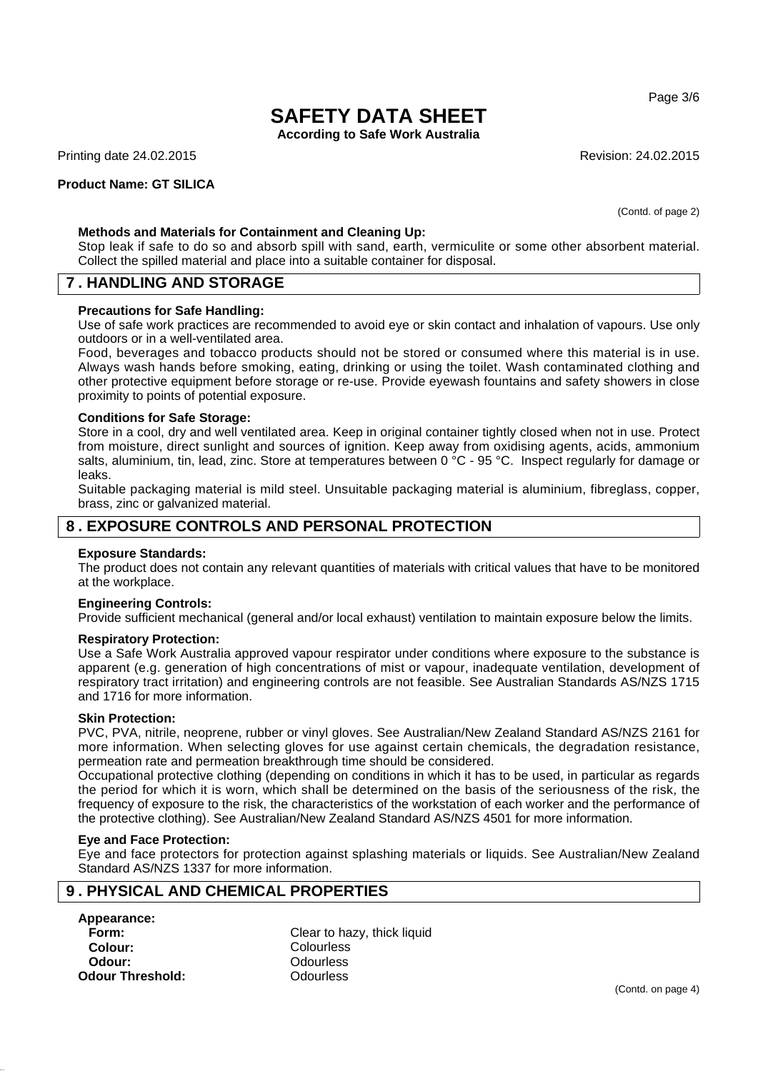Page 3/6

# **SAFETY DATA SHEET**

**According to Safe Work Australia**

Printing date 24.02.2015 **Revision: 24.02.2015** Revision: 24.02.2015

## **Product Name: GT SILICA**

(Contd. of page 2)

## **Methods and Materials for Containment and Cleaning Up:**

Stop leak if safe to do so and absorb spill with sand, earth, vermiculite or some other absorbent material. Collect the spilled material and place into a suitable container for disposal.

## **7 . HANDLING AND STORAGE**

### **Precautions for Safe Handling:**

Use of safe work practices are recommended to avoid eye or skin contact and inhalation of vapours. Use only outdoors or in a well-ventilated area.

Food, beverages and tobacco products should not be stored or consumed where this material is in use. Always wash hands before smoking, eating, drinking or using the toilet. Wash contaminated clothing and other protective equipment before storage or re-use. Provide eyewash fountains and safety showers in close proximity to points of potential exposure.

### **Conditions for Safe Storage:**

Store in a cool, dry and well ventilated area. Keep in original container tightly closed when not in use. Protect from moisture, direct sunlight and sources of ignition. Keep away from oxidising agents, acids, ammonium salts, aluminium, tin, lead, zinc. Store at temperatures between 0 °C - 95 °C. Inspect regularly for damage or leaks.

Suitable packaging material is mild steel. Unsuitable packaging material is aluminium, fibreglass, copper, brass, zinc or galvanized material.

## **8 . EXPOSURE CONTROLS AND PERSONAL PROTECTION**

### **Exposure Standards:**

The product does not contain any relevant quantities of materials with critical values that have to be monitored at the workplace.

#### **Engineering Controls:**

Provide sufficient mechanical (general and/or local exhaust) ventilation to maintain exposure below the limits.

### **Respiratory Protection:**

Use a Safe Work Australia approved vapour respirator under conditions where exposure to the substance is apparent (e.g. generation of high concentrations of mist or vapour, inadequate ventilation, development of respiratory tract irritation) and engineering controls are not feasible. See Australian Standards AS/NZS 1715 and 1716 for more information.

#### **Skin Protection:**

PVC, PVA, nitrile, neoprene, rubber or vinyl gloves. See Australian/New Zealand Standard AS/NZS 2161 for more information. When selecting gloves for use against certain chemicals, the degradation resistance, permeation rate and permeation breakthrough time should be considered.

Occupational protective clothing (depending on conditions in which it has to be used, in particular as regards the period for which it is worn, which shall be determined on the basis of the seriousness of the risk, the frequency of exposure to the risk, the characteristics of the workstation of each worker and the performance of the protective clothing). See Australian/New Zealand Standard AS/NZS 4501 for more information.

#### **Eye and Face Protection:**

Eye and face protectors for protection against splashing materials or liquids. See Australian/New Zealand Standard AS/NZS 1337 for more information.

## **9 . PHYSICAL AND CHEMICAL PROPERTIES**

# **Appearance: Colour:** Colourless **Odour:** Odourless **Odour Threshold:** Odourless

**Form:** Clear to hazy, thick liquid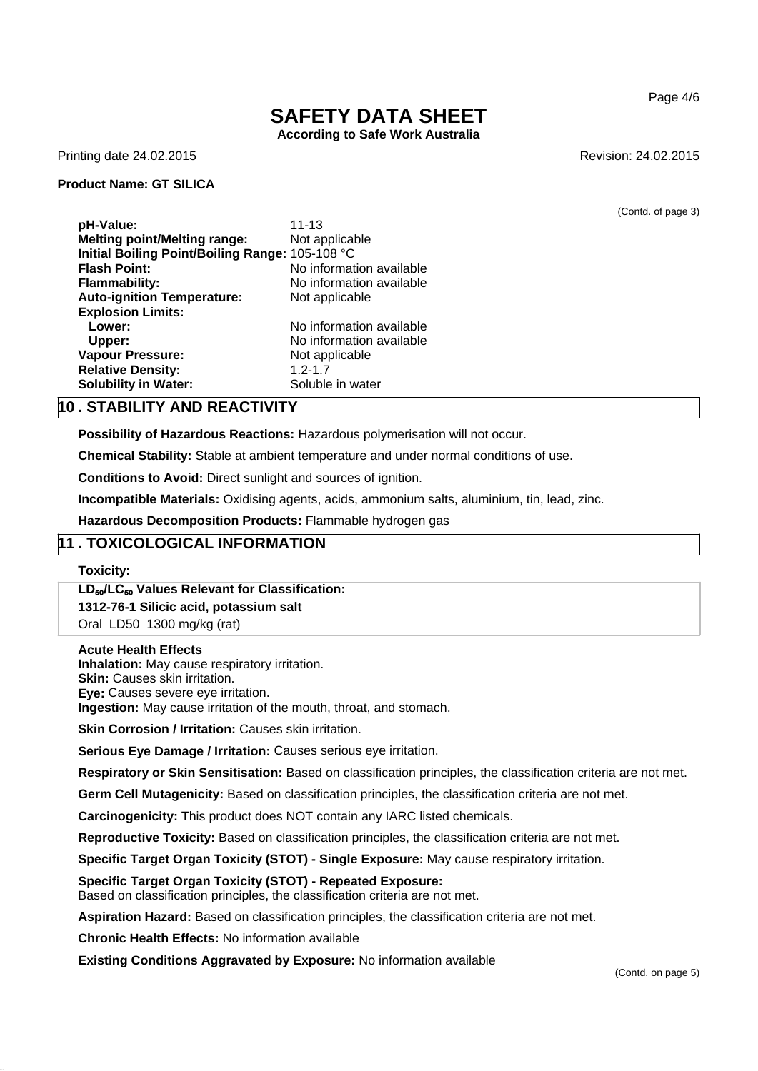Page 4/6

# **SAFETY DATA SHEET**

**According to Safe Work Australia**

Printing date 24.02.2015 **Revision: 24.02.2015** Revision: 24.02.2015

## **Product Name: GT SILICA**

(Contd. of page 3)

**pH-Value:** 11-13 **Melting point/Melting range:** Not applicable **Initial Boiling Point/Boiling Range:** 105-108 °C **Flash Point:** No information available **Flammability:** No information available **Auto-ignition Temperature:** Not applicable **Explosion Limits:** Lower: No information available **Upper:** No information available **Vapour Pressure:** Not applicable **Relative Density:** 1.2-1.7 **Solubility in Water:** Soluble in water

## **10 . STABILITY AND REACTIVITY**

**Possibility of Hazardous Reactions:** Hazardous polymerisation will not occur.

**Chemical Stability:** Stable at ambient temperature and under normal conditions of use.

**Conditions to Avoid:** Direct sunlight and sources of ignition.

**Incompatible Materials:** Oxidising agents, acids, ammonium salts, aluminium, tin, lead, zinc.

**Hazardous Decomposition Products:** Flammable hydrogen gas

## **11 . TOXICOLOGICAL INFORMATION**

**Toxicity:**

**LD**₅₀**/LC**₅₀ **Values Relevant for Classification:**

### **1312-76-1 Silicic acid, potassium salt**

Oral LD50 1300 mg/kg (rat)

### **Acute Health Effects**

**Inhalation:** May cause respiratory irritation.

**Skin: Causes skin irritation.** 

**Eye:** Causes severe eye irritation.

**Ingestion:** May cause irritation of the mouth, throat, and stomach.

**Skin Corrosion / Irritation:** Causes skin irritation.

**Serious Eye Damage / Irritation:** Causes serious eye irritation.

**Respiratory or Skin Sensitisation:** Based on classification principles, the classification criteria are not met.

**Germ Cell Mutagenicity:** Based on classification principles, the classification criteria are not met.

**Carcinogenicity:** This product does NOT contain any IARC listed chemicals.

**Reproductive Toxicity:** Based on classification principles, the classification criteria are not met.

**Specific Target Organ Toxicity (STOT) - Single Exposure:** May cause respiratory irritation.

### **Specific Target Organ Toxicity (STOT) - Repeated Exposure:**

Based on classification principles, the classification criteria are not met.

**Aspiration Hazard:** Based on classification principles, the classification criteria are not met.

**Chronic Health Effects:** No information available

**Existing Conditions Aggravated by Exposure:** No information available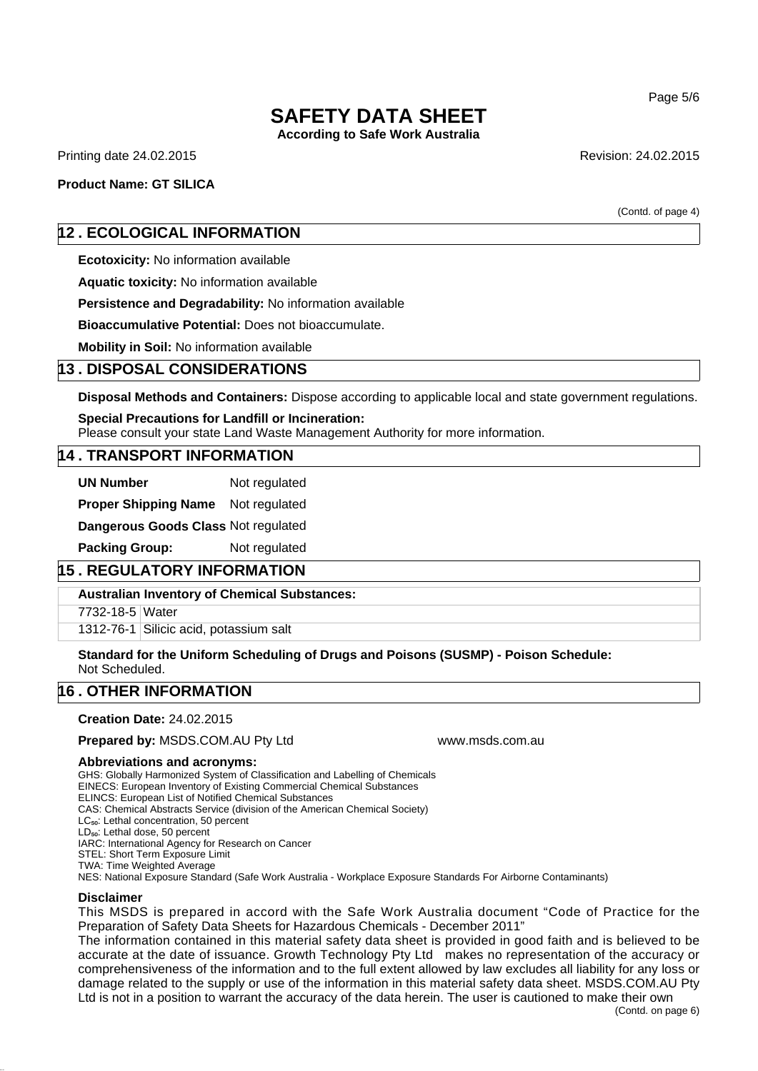# **SAFETY DATA SHEET**

**According to Safe Work Australia**

Printing date 24.02.2015 **Revision: 24.02.2015** Revision: 24.02.2015

## **Product Name: GT SILICA**

(Contd. of page 4)

## **12 . ECOLOGICAL INFORMATION**

**Ecotoxicity:** No information available

**Aquatic toxicity:** No information available

**Persistence and Degradability:** No information available

**Bioaccumulative Potential:** Does not bioaccumulate.

**Mobility in Soil:** No information available

## **13 . DISPOSAL CONSIDERATIONS**

**Disposal Methods and Containers:** Dispose according to applicable local and state government regulations.

**Special Precautions for Landfill or Incineration:** Please consult your state Land Waste Management Authority for more information.

## **14 . TRANSPORT INFORMATION**

**UN Number** Not regulated

**Proper Shipping Name** Not regulated

**Dangerous Goods Class** Not regulated

**Packing Group:** Not regulated

# **15 . REGULATORY INFORMATION**

**Australian Inventory of Chemical Substances:**

7732-18-5 Water

1312-76-1 Silicic acid, potassium salt

**Standard for the Uniform Scheduling of Drugs and Poisons (SUSMP) - Poison Schedule:** Not Scheduled.

# **16 . OTHER INFORMATION**

**Creation Date:** 24.02.2015

**Prepared by: MSDS.COM.AU Pty Ltd www.msds.com.au** 

### **Abbreviations and acronyms:**

GHS: Globally Harmonized System of Classification and Labelling of Chemicals

EINECS: European Inventory of Existing Commercial Chemical Substances

ELINCS: European List of Notified Chemical Substances

CAS: Chemical Abstracts Service (division of the American Chemical Society)

LC<sub>50</sub>: Lethal concentration, 50 percent

LD<sub>50</sub>: Lethal dose, 50 percent

IARC: International Agency for Research on Cancer

STEL: Short Term Exposure Limit TWA: Time Weighted Average

NES: National Exposure Standard (Safe Work Australia - Workplace Exposure Standards For Airborne Contaminants)

## **Disclaimer**

This MSDS is prepared in accord with the Safe Work Australia document "Code of Practice for the Preparation of Safety Data Sheets for Hazardous Chemicals - December 2011"

The information contained in this material safety data sheet is provided in good faith and is believed to be accurate at the date of issuance. Growth Technology Pty Ltd makes no representation of the accuracy or comprehensiveness of the information and to the full extent allowed by law excludes all liability for any loss or damage related to the supply or use of the information in this material safety data sheet. MSDS.COM.AU Pty Ltd is not in a position to warrant the accuracy of the data herein. The user is cautioned to make their own